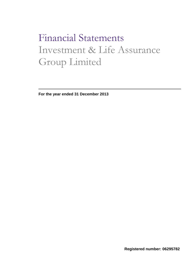# Financial Statements Investment & Life Assurance Group Limited

**For the year ended 31 December 2013**

**Registered number: 06295782**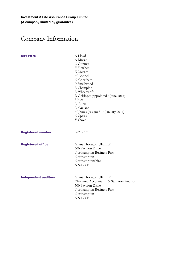## Company Information

| <b>Directors</b>            | A Lloyd<br>A Moret<br>C Gunney<br>F Fletcher<br>K Meeres<br>M Connell<br>N Cheetham<br>P Smallwood<br>R Champion<br>R Wheatcroft<br>B Geiringer (appointed 6 June 2013)<br>S Rice<br>D Akers<br>D Gulland<br>M James (resigned 13 January 2014)<br>N Speirs<br>V Owen |
|-----------------------------|-----------------------------------------------------------------------------------------------------------------------------------------------------------------------------------------------------------------------------------------------------------------------|
| <b>Registered number</b>    | 06295782                                                                                                                                                                                                                                                              |
| <b>Registered office</b>    | Grant Thornton UK LLP<br>300 Pavilion Drive<br>Northampton Business Park<br>Northampton<br>Northamptonshire<br>NN47YE                                                                                                                                                 |
| <b>Independent auditors</b> | Grant Thornton UK LLP<br>Chartered Accountants & Statutory Auditor<br>300 Pavilion Drive<br>Northampton Business Park<br>Northampton<br>NN47YE                                                                                                                        |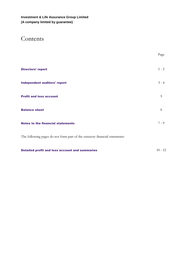### Contents

|                                                                             | Page    |
|-----------------------------------------------------------------------------|---------|
| <b>Directors' report</b>                                                    | $1 - 2$ |
| <b>Independent auditors' report</b>                                         | $3 - 4$ |
| <b>Profit and loss account</b>                                              | 5       |
| <b>Balance sheet</b>                                                        | 6       |
| <b>Notes to the financial statements</b>                                    | $7 - 9$ |
| The following pages do not form part of the statutory financial statements: |         |

| <b>Detailed profit and loss account and summaries</b> | $10 - 12$ |
|-------------------------------------------------------|-----------|
|                                                       |           |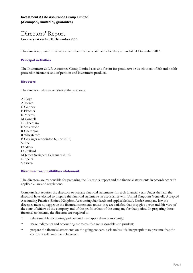### Directors' Report For the year ended 31 December 2013

The directors present their report and the financial statements for the year ended 31 December 2013.

#### Principal activities

The Investment & Life Assurance Group Limited acts as a forum for producers or distributors of life and health protection insurance and of pension and investment products.

#### **Directors**

The directors who served during the year were:

A Lloyd A Moret C Gunney F Fletcher K Meeres M Connell N Cheetham P Smallwood R Champion R Wheatcroft B Geiringer (appointed 6 June 2013) S Rice D Akers D Gulland M James (resigned 13 January 2014) N Speirs V Owen

#### Directors' responsibilities statement

The directors are responsible for preparing the Directors' report and the financial statements in accordance with applicable law and regulations.

Company law requires the directors to prepare financial statements for each financial year. Under that law the directors have elected to prepare the financial statements in accordance with United Kingdom Generally Accepted Accounting Practice (United Kingdom Accounting Standards and applicable law). Under company law the directors must not approve the financial statements unless they are satisfied that they give a true and fair view of the state of affairs of the company and of the profit or loss of the company for that period. In preparing these financial statements, the directors are required to:

- select suitable accounting policies and then apply them consistently;
- make judgments and accounting estimates that are reasonable and prudent;
- prepare the financial statements on the going concern basis unless it is inappropriate to presume that the company will continue in business.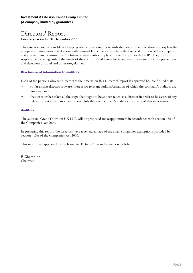### Directors' Report For the year ended 31 December 2013

The directors are responsible for keeping adequate accounting records that are sufficient to show and explain the company's transactions and disclose with reasonable accuracy at any time the financial position of the company and enable them to ensure that the financial statements comply with the Companies Act 2006. They are also responsible for safeguarding the assets of the company and hence for taking reasonable steps for the prevention and detection of fraud and other irregularities.

#### Disclosure of information to auditors

Each of the persons who are directors at the time when this Directors' report is approved has confirmed that:

- so far as that director is aware, there is no relevant audit information of which the company's auditors are unaware, and
- that director has taken all the steps that ought to have been taken as a director in order to be aware of any relevant audit information and to establish that the company's auditors are aware of that information.

#### Auditors

The auditors, Grant Thornton UK LLP, will be proposed for reappointment in accordance with section 485 of the Companies Act 2006.

In preparing this report, the directors have taken advantage of the small companies exemptions provided by section 415A of the Companies Act 2006.

This report was approved by the board on 11 June 2014 and signed on its behalf.

R Champion Chairman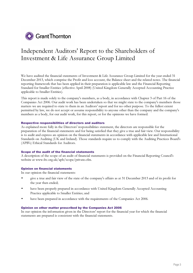

## Independent Auditors' Report to the Shareholders of Investment & Life Assurance Group Limited

We have audited the financial statements of Investment & Life Assurance Group Limited for the year ended 31 December 2013, which comprise the Profit and loss account, the Balance sheet and the related notes. The financial reporting framework that has been applied in their preparation is applicable law and the Financial Reporting Standard for Smaller Entities (effective April 2008) (United Kingdom Generally Accepted Accounting Practice applicable to Smaller Entities).

This report is made solely to the company's members, as a body, in accordance with Chapter 3 of Part 16 of the Companies Act 2006. Our audit work has been undertaken so that we might state to the company's members those matters we are required to state to them in an Auditors' report and for no other purpose. To the fullest extent permitted by law, we do not accept or assume responsibility to anyone other than the company and the company's members as a body, for our audit work, for this report, or for the opinions we have formed.

#### Respective responsibilities of directors and auditors

As explained more fully in the Directors' responsibilities statement, the directors are responsible for the preparation of the financial statements and for being satisfied that they give a true and fair view. Our responsibility is to audit and express an opinion on the financial statements in accordance with applicable law and International Standards on Auditing (UK and Ireland). Those standards require us to comply with the Auditing Practices Board's (APB's) Ethical Standards for Auditors.

#### Scope of the audit of the financial statements

A description of the scope of an audit of financial statements is provided on the Financial Reporting Council's website at www.frc.org.uk/apb/scope/private.cfm.

#### Opinion on financial statements

In our opinion the financial statements:

- give a true and fair view of the state of the company's affairs as at 31 December 2013 and of its profit for the year then ended;
- have been properly prepared in accordance with United Kingdom Generally Accepted Accounting Practice applicable to Smaller Entities; and
- have been prepared in accordance with the requirements of the Companies Act 2006.

#### Opinion on other matter prescribed by the Companies Act 2006

In our opinion the information given in the Directors' report for the financial year for which the financial statements are prepared is consistent with the financial statements.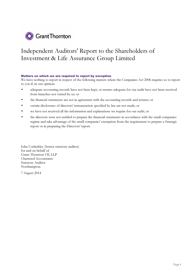

## Independent Auditors' Report to the Shareholders of Investment & Life Assurance Group Limited

#### Matters on which we are required to report by exception

We have nothing to report in respect of the following matters where the Companies Act 2006 requires us to report to you if, in our opinion:

- adequate accounting records have not been kept, or returns adequate for our audit have not been received from branches not visited by us; or
- the financial statements are not in agreement with the accounting records and returns; or Ī
- certain disclosures of directors' remuneration specified by law are not made; or Ī
- we have not received all the information and explanations we require for our audit; or
- the directors were not entitled to prepare the financial statements in accordance with the small companies regime and take advantage of the small companies' exemption from the requirement to prepare a Strategic report or in preparing the Directors' report.

John Corbishley (Senior statutory auditor) for and on behalf of Grant Thornton UK LLP Chartered Accountants Statutory Auditor Northampton

7 August 2014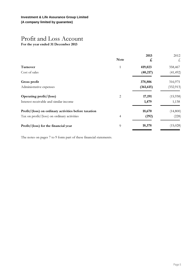### Profit and Loss Account For the year ended 31 December 2013

|                                                      | <b>Note</b>    | 2013<br>$\mathbf{f}$ | 2012<br>£  |
|------------------------------------------------------|----------------|----------------------|------------|
| Turnover                                             | $\mathbf{1}$   | 419,023              | 358,467    |
| Cost of sales                                        |                | (40, 217)            | (41, 492)  |
| Gross profit                                         |                | 378,806              | 316,975    |
| Administrative expenses                              |                | (361, 615)           | (332, 913) |
| Operating profit/(loss)                              | $\overline{c}$ | 17,191               | (15,938)   |
| Interest receivable and similar income               |                | 1,479                | 1,138      |
| Profit/(loss) on ordinary activities before taxation |                | 18,670               | (14, 800)  |
| Tax on profit/(loss) on ordinary activities          | 4              | (292)                | (228)      |
| Profit/(loss) for the financial year                 | 9              | 18,378               | (15, 028)  |

The notes on pages 7 to 9 form part of these financial statements.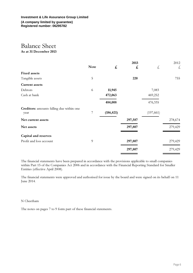#### **Investment & Life Assurance Group Limited (A company limited by guarantee) Registered number: 06295782**

## Balance Sheet

As at 31 December 2013

|   |                  | 2013            |         | 2012            |
|---|------------------|-----------------|---------|-----------------|
|   |                  |                 |         | £               |
|   |                  |                 |         |                 |
| 5 |                  | 220             |         | 755             |
|   |                  |                 |         |                 |
| 6 | 11,945           |                 | 7,083   |                 |
|   | 472,063          |                 | 469,252 |                 |
|   | 484,008          |                 | 476,335 |                 |
|   |                  |                 |         |                 |
|   |                  |                 |         |                 |
|   |                  | 297,587         |         | 278,674         |
|   |                  | 297,807         |         | 279,429         |
|   |                  |                 |         |                 |
| 9 |                  | 297,807         |         | 279,429         |
|   |                  | 297,807         |         | 279,429         |
|   | <b>Note</b><br>7 | £<br>(186, 421) | £       | £<br>(197, 661) |

The financial statements have been prepared in accordance with the provisions applicable to small companies within Part 15 of the Companies Act 2006 and in accordance with the Financial Reporting Standard for Smaller Entities (effective April 2008).

The financial statements were approved and authorised for issue by the board and were signed on its behalf on 11 June 2014.

#### N Cheetham

The notes on pages 7 to 9 form part of these financial statements.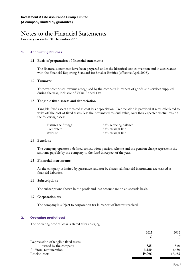### Notes to the Financial Statements For the year ended 31 December 2013

#### 1. Accounting Policies

#### 1.1 Basis of preparation of financial statements

The financial statements have been prepared under the historical cost convention and in accordance with the Financial Reporting Standard for Smaller Entities (effective April 2008).

#### 1.2 Turnover

Turnover comprises revenue recognised by the company in respect of goods and services supplied during the year, inclusive of Value Added Tax.

#### 1.3 Tangible fixed assets and depreciation

Tangible fixed assets are stated at cost less depreciation. Depreciation is provided at rates calculated to write off the cost of fixed assets, less their estimated residual value, over their expected useful lives on the following bases:

| Fixtures & fittings | $\overline{\phantom{0}}$ | 33% reducing balance |
|---------------------|--------------------------|----------------------|
| Computers           | $\sim$ 100 $\mu$         | 33% straight line    |
| Website             | $\sim$ 100 $\mu$         | 33% straight line    |

#### 1.4 Pensions

The company operates a defined contribution pension scheme and the pension charge represents the amounts payable by the company to the fund in respect of the year.

#### 1.5 Financial instruments

As the company is limited by guarantee, and not by shares, all financial instruments are classed as financial liabilities.

#### 1.6 Subscriptions

The subscriptions shown in the profit and loss account are on an accruals basis.

#### 1.7 Corporation tax

The company is subject to corporation tax in respect of interest received.

#### 2. Operating profit/(loss)

The operating profit/(loss) is stated after charging:

|                                        | 2013   | 2012   |
|----------------------------------------|--------|--------|
|                                        |        | £      |
| Depreciation of tangible fixed assets: |        |        |
| - owned by the company                 | 535    | 540    |
| Auditors' remuneration                 | 3,480  | 3,450  |
| Pension costs                          | 19,096 | 17,055 |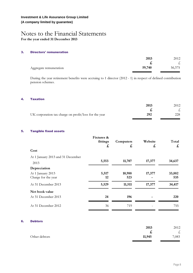### Notes to the Financial Statements For the year ended 31 December 2013

#### 3. Directors' remuneration

|                        | 2013   | 2012   |
|------------------------|--------|--------|
|                        | た      | た      |
| Aggregate remuneration | 59,740 | 56,375 |
|                        |        |        |

During the year retirement benefits were accruing to 1 director (2012 - 1) in respect of defined contribution pension schemes.

#### 4. Taxation

|                                                       | 2013 | 2012 |
|-------------------------------------------------------|------|------|
|                                                       |      |      |
| UK corporation tax charge on profit/loss for the year | 292  | 228  |

#### 5. Tangible fixed assets

| Cost                                                     | <b>Fixtures &amp;</b><br>fittings<br>£ | Computers<br>$\mathbf{f}$ | Website<br>£ | Total<br>£    |
|----------------------------------------------------------|----------------------------------------|---------------------------|--------------|---------------|
| At 1 January 2013 and 31 December<br>2013                | 5,553                                  | 11,707                    | 17,377       | 34,637        |
| Depreciation<br>At 1 January 2013<br>Charge for the year | 5,517<br>12                            | 10,988<br>523             | 17,377       | 33,882<br>535 |
| At 31 December 2013                                      | 5,529                                  | 11,511                    | 17,377       | 34,417        |
| Net book value<br>At 31 December 2013                    | 24                                     | 196                       |              | <b>220</b>    |
| At 31 December 2012                                      | 36                                     | 719                       |              | 755           |

#### 6. Debtors

| 2013<br>2012    |               |
|-----------------|---------------|
| ↗<br>た<br>た     |               |
| 7,083<br>11,945 | Other debtors |
|                 |               |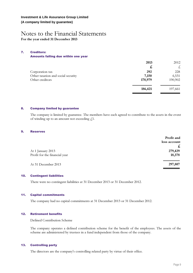## Notes to the Financial Statements

For the year ended 31 December 2013

#### 7. Creditors:

Amounts falling due within one year

|                                    | 2013    | 2012    |
|------------------------------------|---------|---------|
|                                    | た       |         |
| Corporation tax                    | 292     | 228     |
| Other taxation and social security | 7,150   | 6,531   |
| Other creditors                    | 178,979 | 190,902 |
|                                    | 186,421 | 197,661 |

#### 8. Company limited by guarantee

The company is limited by guarantee. The members have each agreed to contribute to the assets in the event of winding up to an amount not exceeding  $f<sub>1</sub>$ .

#### 9. Reserves

|                               | Profit and   |
|-------------------------------|--------------|
|                               | loss account |
|                               | £            |
| At 1 January 2013             | 279,429      |
| Profit for the financial year | 18,378       |
| At 31 December 2013           | 297,807      |

#### 10. Contingent liabilities

There were no contingent liabilities at 31 December 2013 or 31 December 2012.

#### 11. Capital commitments

The company had no capital commitments at 31 December 2013 or 31 December 2012.

#### 12. Retirement benefits

Defined Contribution Scheme

The company operates a defined contribution scheme for the benefit of the employees. The assets of the scheme are administered by trustees in a fund independent from those of the company.

#### 13. Controlling party

The directors are the company's controlling related party by virtue of their office.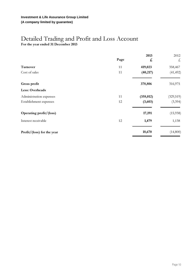### Detailed Trading and Profit and Loss Account For the year ended 31 December 2013

|                            | Page | 2013<br>£  | 2012<br>£  |
|----------------------------|------|------------|------------|
| Turnover                   | 11   | 419,023    | 358,467    |
| Cost of sales              | 11   | (40, 217)  | (41, 492)  |
| Gross profit               |      | 378,806    | 316,975    |
| Less: Overheads            |      |            |            |
| Administration expenses    | 11   | (358, 012) | (329, 519) |
| Establishment expenses     | 12   | (3,603)    | (3, 394)   |
| Operating profit/(loss)    |      | 17,191     | (15,938)   |
| Interest receivable        | 12   | 1,479      | 1,138      |
| Profit/(loss) for the year |      | 18,670     | (14,800)   |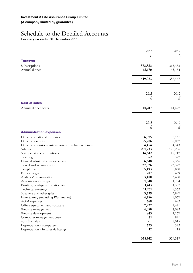## Schedule to the Detailed Accounts

For the year ended 31 December 2013

|                                                   | 2013    | 2012    |
|---------------------------------------------------|---------|---------|
|                                                   | £       | £       |
| <b>Turnover</b>                                   |         |         |
| Subscriptions                                     | 373,853 | 313,333 |
| Annual dinner                                     | 45,170  | 45,134  |
|                                                   |         |         |
|                                                   | 419,023 | 358,467 |
|                                                   |         |         |
|                                                   |         |         |
|                                                   | 2013    | 2012    |
|                                                   | £       | £       |
| <b>Cost of sales</b>                              |         |         |
|                                                   |         |         |
| Annual dinner costs                               | 40,217  | 41,492  |
|                                                   |         |         |
|                                                   |         |         |
|                                                   | 2013    | 2012    |
|                                                   | £       | £       |
| <b>Administration expenses</b>                    |         |         |
| Director's national insurance                     | 6,575   | 6,161   |
| Director's salaries                               | 55,286  | 52,032  |
| Director's pension costs - money purchase schemes | 4,454   | 4,343   |
| Salaries                                          | 201,733 | 175,256 |
| Staff pension contributions                       | 14,642  | 12,712  |
| Training                                          | 562     | 322     |
| General administrative expenses                   | 6,348   | 9,366   |
| Travel and accomodation                           | 27,026  | 23,322  |
| Telephone                                         | 5,493   | 5,830   |
| <b>Bank</b> charges                               | 707     | 439     |
| Auditors' remuneration                            | 3,480   | 3,450   |
| Accountancy charges                               | 1,848   | 1,704   |
| Printing, postage and stationery                  | 1,413   | 1,307   |
| Technical meetings                                | 11,231  | 9,562   |
| Speakers and other gifts                          | 3,739   | 3,897   |
| Entertaining (including PG lunches)               | 4,486   | 5,067   |
| AGM expenses                                      | 568     | 692     |
| Office equipment and software                     | 2,922   | 2,441   |
| Website management                                | 4,080   | 4,073   |
| Website development                               | 843     | 1,167   |
| Computer management costs                         | 41      | 821     |
| 40th Birthday                                     |         | 5,015   |
| Depreciation - computers                          | 523     | 522     |
| Depreciation - fixtures & fittings                | 12      | 18      |
|                                                   |         |         |
|                                                   | 358,012 | 329,519 |
|                                                   |         |         |